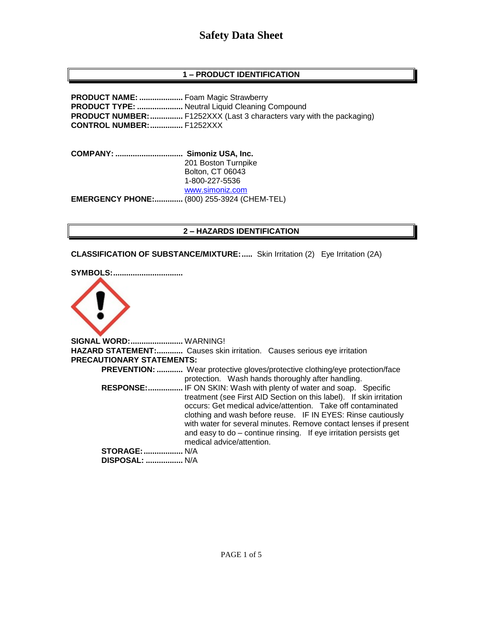# **Safety Data Sheet**

# **1 – PRODUCT IDENTIFICATION**

**PRODUCT NAME: ....................** Foam Magic Strawberry **PRODUCT TYPE: .....................** Neutral Liquid Cleaning Compound **PRODUCT NUMBER:...............** F1252XXX (Last 3 characters vary with the packaging) **CONTROL NUMBER:...............** F1252XXX

**COMPANY: ............................... Simoniz USA, Inc.** 201 Boston Turnpike Bolton, CT 06043 1-800-227-5536 [www.simoniz.com](http://www.simoniz.com/) **EMERGENCY PHONE:.............** (800) 255-3924 (CHEM-TEL)

#### **2 – HAZARDS IDENTIFICATION**

**CLASSIFICATION OF SUBSTANCE/MIXTURE:.....** Skin Irritation (2) Eye Irritation (2A)

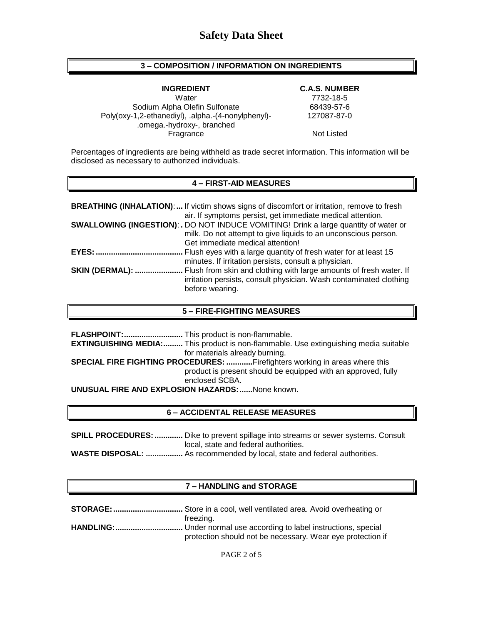### **3 – COMPOSITION / INFORMATION ON INGREDIENTS**

#### **INGREDIENT C.A.S. NUMBER**

Sodium Alpha Olefin Sulfonate 68439-57-6 Poly(oxy-1,2-ethanediyl), .alpha.-(4-nonylphenyl)- .omega.-hydroxy-, branched Fragrance Not Listed

Water 7732-18-5 127087-87-0

Percentages of ingredients are being withheld as trade secret information. This information will be disclosed as necessary to authorized individuals.

#### **4 – FIRST-AID MEASURES**

|                        | <b>BREATHING (INHALATION):</b> If victim shows signs of discomfort or irritation, remove to fresh<br>air. If symptoms persist, get immediate medical attention.                                   |
|------------------------|---------------------------------------------------------------------------------------------------------------------------------------------------------------------------------------------------|
|                        | <b>SWALLOWING (INGESTION): .</b> DO NOT INDUCE VOMITING! Drink a large quantity of water or<br>milk. Do not attempt to give liquids to an unconscious person.<br>Get immediate medical attention! |
| <b>EYES: </b>          | Flush eyes with a large quantity of fresh water for at least 15<br>minutes. If irritation persists, consult a physician.                                                                          |
| <b>SKIN (DERMAL): </b> | . Flush from skin and clothing with large amounts of fresh water. If<br>irritation persists, consult physician. Wash contaminated clothing<br>before wearing.                                     |

#### **5 – FIRE-FIGHTING MEASURES**

**FLASHPOINT:...........................** This product is non-flammable. **EXTINGUISHING MEDIA:.........** This product is non-flammable. Use extinguishing media suitable for materials already burning. **SPECIAL FIRE FIGHTING PROCEDURES: ............**Firefighters working in areas where this product is present should be equipped with an approved, fully enclosed SCBA. **UNUSUAL FIRE AND EXPLOSION HAZARDS:......**None known.

### **6 – ACCIDENTAL RELEASE MEASURES**

**SPILL PROCEDURES: .............** Dike to prevent spillage into streams or sewer systems. Consult local, state and federal authorities.

**WASTE DISPOSAL: .................** As recommended by local, state and federal authorities.

#### **7 – HANDLING and STORAGE**

| freezing.                                                  |
|------------------------------------------------------------|
|                                                            |
| protection should not be necessary. Wear eye protection if |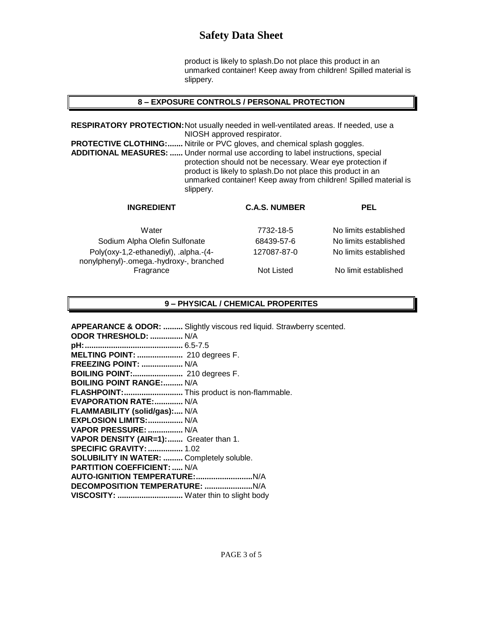# **Safety Data Sheet**

product is likely to splash.Do not place this product in an unmarked container! Keep away from children! Spilled material is slippery.

#### **8 – EXPOSURE CONTROLS / PERSONAL PROTECTION**

**RESPIRATORY PROTECTION:**Not usually needed in well-ventilated areas. If needed, use a NIOSH approved respirator. **PROTECTIVE CLOTHING:.......** Nitrile or PVC gloves, and chemical splash goggles. **ADDITIONAL MEASURES: ......** Under normal use according to label instructions, special protection should not be necessary. Wear eye protection if product is likely to splash.Do not place this product in an unmarked container! Keep away from children! Spilled material is slippery.

| <b>INGREDIENT</b>                                                                | <b>C.A.S. NUMBER</b> | <b>PEL</b>            |
|----------------------------------------------------------------------------------|----------------------|-----------------------|
| Water                                                                            | 7732-18-5            | No limits established |
| Sodium Alpha Olefin Sulfonate                                                    | 68439-57-6           | No limits established |
| Poly(oxy-1,2-ethanediyl), .alpha.-(4-<br>nonylphenyl)-.omega.-hydroxy-, branched | 127087-87-0          | No limits established |
| Fragrance                                                                        | Not Listed           | No limit established  |

## **9 – PHYSICAL / CHEMICAL PROPERITES**

| <b>APPEARANCE &amp; ODOR:  Slightly viscous red liquid. Strawberry scented.</b> |
|---------------------------------------------------------------------------------|
| ODOR THRESHOLD:  N/A                                                            |
|                                                                                 |
| MELTING POINT:  210 degrees F.                                                  |
| FREEZING POINT:  N/A                                                            |
| BOILING POINT: 210 degrees F.                                                   |
| <b>BOILING POINT RANGE: N/A</b>                                                 |
| FLASHPOINT: This product is non-flammable.                                      |
| <b>EVAPORATION RATE:  N/A</b>                                                   |
| FLAMMABILITY (solid/gas): N/A                                                   |
| EXPLOSION LIMITS:  N/A                                                          |
| VAPOR PRESSURE:  N/A                                                            |
| VAPOR DENSITY (AIR=1): Greater than 1.                                          |
| <b>SPECIFIC GRAVITY:  1.02</b>                                                  |
| <b>SOLUBILITY IN WATER:  Completely soluble.</b>                                |
| <b>PARTITION COEFFICIENT:  N/A</b>                                              |
|                                                                                 |
|                                                                                 |
| VISCOSITY:  Water thin to slight body                                           |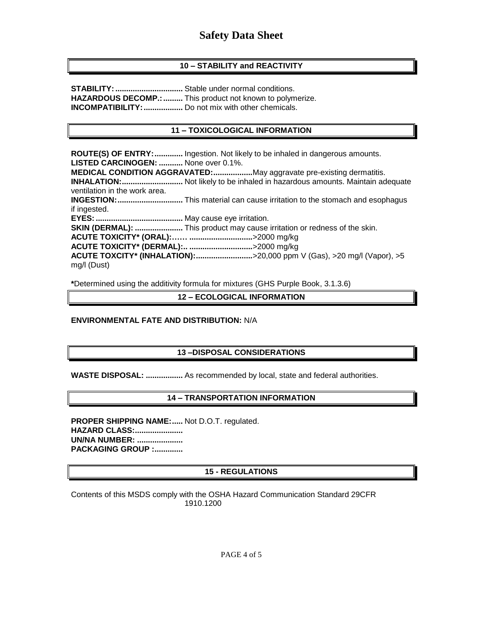# **10 – STABILITY and REACTIVITY**

**STABILITY:...............................** Stable under normal conditions. **HAZARDOUS DECOMP.:.........** This product not known to polymerize. **INCOMPATIBILITY:..................** Do not mix with other chemicals.

# **11 – TOXICOLOGICAL INFORMATION**

**ROUTE(S) OF ENTRY:.............** Ingestion. Not likely to be inhaled in dangerous amounts. **LISTED CARCINOGEN: ...........** None over 0.1%. **MEDICAL CONDITION AGGRAVATED:..................**May aggravate pre-existing dermatitis. **INHALATION:............................** Not likely to be inhaled in hazardous amounts. Maintain adequate ventilation in the work area. **INGESTION:..............................** This material can cause irritation to the stomach and esophagus if ingested. **EYES:........................................** May cause eye irritation. **SKIN (DERMAL): ......................** This product may cause irritation or redness of the skin. **ACUTE TOXICITY\* (ORAL):…… .............................**>2000 mg/kg **ACUTE TOXICITY\* (DERMAL):.. .............................**>2000 mg/kg **ACUTE TOXCITY\* (INHALATION):..........................**>20,000 ppm V (Gas), >20 mg/l (Vapor), >5 mg/l (Dust)

**\***Determined using the additivity formula for mixtures (GHS Purple Book, 3.1.3.6)

**12 – ECOLOGICAL INFORMATION**

#### **ENVIRONMENTAL FATE AND DISTRIBUTION:** N/A

# **13 –DISPOSAL CONSIDERATIONS**

**WASTE DISPOSAL: .................** As recommended by local, state and federal authorities.

# **14 – TRANSPORTATION INFORMATION**

**PROPER SHIPPING NAME:.....** Not D.O.T. regulated. **HAZARD CLASS:...................... UN/NA NUMBER: ..................... PACKAGING GROUP :.............**

# **15 - REGULATIONS**

Contents of this MSDS comply with the OSHA Hazard Communication Standard 29CFR 1910.1200